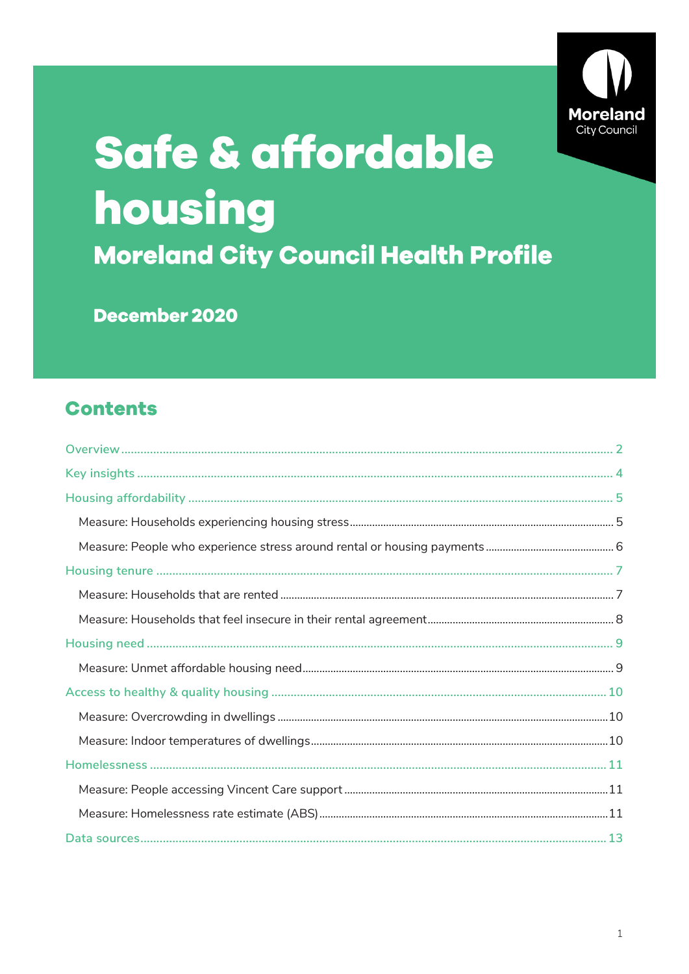

# Safe & affordable housing **Moreland City Council Health Profile**

December 2020

### **Contents**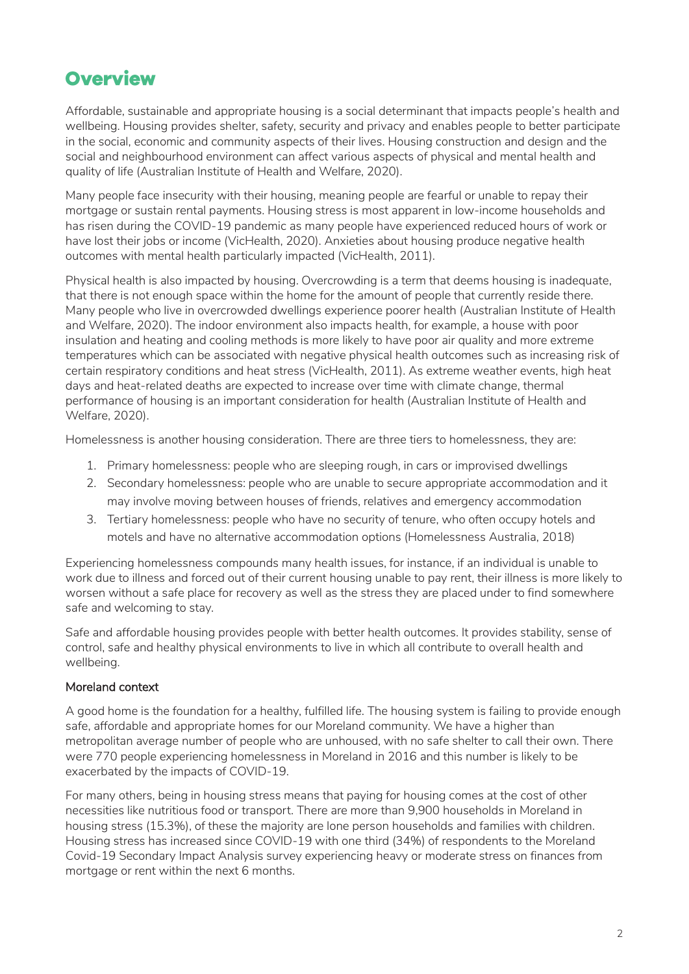### <span id="page-1-0"></span>**Overview**

Affordable, sustainable and appropriate housing is a social determinant that impacts people's health and wellbeing. Housing provides shelter, safety, security and privacy and enables people to better participate in the social, economic and community aspects of their lives. Housing construction and design and the social and neighbourhood environment can affect various aspects of physical and mental health and quality of life (Australian Institute of Health and Welfare, 2020).

Many people face insecurity with their housing, meaning people are fearful or unable to repay their mortgage or sustain rental payments. Housing stress is most apparent in low-income households and has risen during the COVID-19 pandemic as many people have experienced reduced hours of work or have lost their jobs or income (VicHealth, 2020). Anxieties about housing produce negative health outcomes with mental health particularly impacted (VicHealth, 2011).

Physical health is also impacted by housing. Overcrowding is a term that deems housing is inadequate, that there is not enough space within the home for the amount of people that currently reside there. Many people who live in overcrowded dwellings experience poorer health (Australian Institute of Health and Welfare, 2020). The indoor environment also impacts health, for example, a house with poor insulation and heating and cooling methods is more likely to have poor air quality and more extreme temperatures which can be associated with negative physical health outcomes such as increasing risk of certain respiratory conditions and heat stress (VicHealth, 2011). As extreme weather events, high heat days and heat-related deaths are expected to increase over time with climate change, thermal performance of housing is an important consideration for health (Australian Institute of Health and Welfare, 2020).

Homelessness is another housing consideration. There are three tiers to homelessness, they are:

- 1. Primary homelessness: people who are sleeping rough, in cars or improvised dwellings
- 2. Secondary homelessness: people who are unable to secure appropriate accommodation and it may involve moving between houses of friends, relatives and emergency accommodation
- 3. Tertiary homelessness: people who have no security of tenure, who often occupy hotels and motels and have no alternative accommodation options (Homelessness Australia, 2018)

Experiencing homelessness compounds many health issues, for instance, if an individual is unable to work due to illness and forced out of their current housing unable to pay rent, their illness is more likely to worsen without a safe place for recovery as well as the stress they are placed under to find somewhere safe and welcoming to stay.

Safe and affordable housing provides people with better health outcomes. It provides stability, sense of control, safe and healthy physical environments to live in which all contribute to overall health and wellbeing.

#### Moreland context

A good home is the foundation for a healthy, fulfilled life. The housing system is failing to provide enough safe, affordable and appropriate homes for our Moreland community. We have a higher than metropolitan average number of people who are unhoused, with no safe shelter to call their own. There were 770 people experiencing homelessness in Moreland in 2016 and this number is likely to be exacerbated by the impacts of COVID-19.

For many others, being in housing stress means that paying for housing comes at the cost of other necessities like nutritious food or transport. There are more than 9,900 households in Moreland in housing stress (15.3%), of these the majority are lone person households and families with children. Housing stress has increased since COVID-19 with one third (34%) of respondents to the Moreland Covid-19 Secondary Impact Analysis survey experiencing heavy or moderate stress on finances from mortgage or rent within the next 6 months.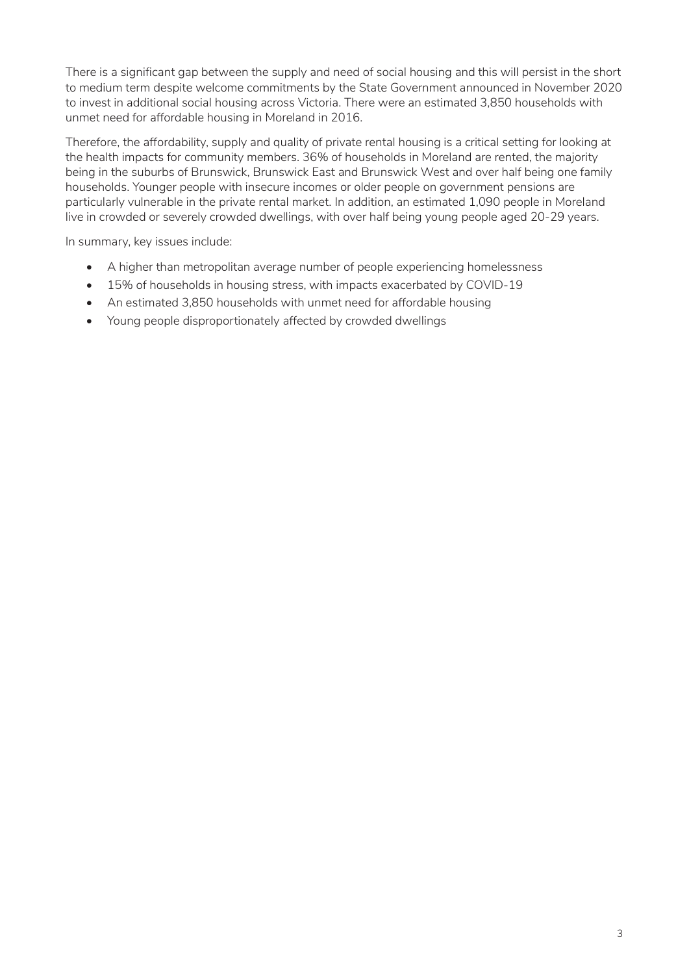There is a significant gap between the supply and need of social housing and this will persist in the short to medium term despite welcome commitments by the State Government announced in November 2020 to invest in additional social housing across Victoria. There were an estimated 3,850 households with unmet need for affordable housing in Moreland in 2016.

Therefore, the affordability, supply and quality of private rental housing is a critical setting for looking at the health impacts for community members. 36% of households in Moreland are rented, the majority being in the suburbs of Brunswick, Brunswick East and Brunswick West and over half being one family households. Younger people with insecure incomes or older people on government pensions are particularly vulnerable in the private rental market. In addition, an estimated 1,090 people in Moreland live in crowded or severely crowded dwellings, with over half being young people aged 20-29 years.

In summary, key issues include:

- A higher than metropolitan average number of people experiencing homelessness
- 15% of households in housing stress, with impacts exacerbated by COVID-19
- An estimated 3,850 households with unmet need for affordable housing
- Young people disproportionately affected by crowded dwellings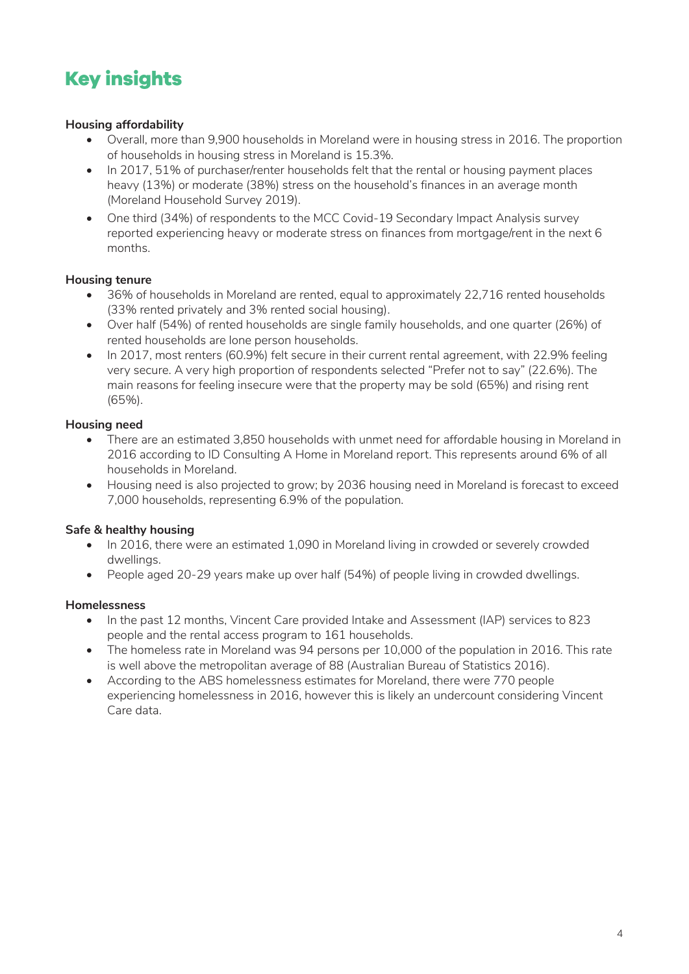## <span id="page-3-0"></span>**Key insights**

#### **Housing affordability**

- Overall, more than 9,900 households in Moreland were in housing stress in 2016. The proportion of households in housing stress in Moreland is 15.3%.
- In 2017, 51% of purchaser/renter households felt that the rental or housing payment places heavy (13%) or moderate (38%) stress on the household's finances in an average month (Moreland Household Survey 2019).
- One third (34%) of respondents to the MCC Covid-19 Secondary Impact Analysis survey reported experiencing heavy or moderate stress on finances from mortgage/rent in the next 6 months.

#### **Housing tenure**

- 36% of households in Moreland are rented, equal to approximately 22,716 rented households (33% rented privately and 3% rented social housing).
- Over half (54%) of rented households are single family households, and one quarter (26%) of rented households are lone person households.
- In 2017, most renters (60.9%) felt secure in their current rental agreement, with 22.9% feeling very secure. A very high proportion of respondents selected "Prefer not to say" (22.6%). The main reasons for feeling insecure were that the property may be sold (65%) and rising rent (65%).

#### **Housing need**

- There are an estimated 3,850 households with unmet need for affordable housing in Moreland in 2016 according to ID Consulting A Home in Moreland report. This represents around 6% of all households in Moreland.
- Housing need is also projected to grow; by 2036 housing need in Moreland is forecast to exceed 7,000 households, representing 6.9% of the population.

#### **Safe & healthy housing**

- In 2016, there were an estimated 1,090 in Moreland living in crowded or severely crowded dwellings.
- People aged 20-29 years make up over half (54%) of people living in crowded dwellings.

#### **Homelessness**

- In the past 12 months, Vincent Care provided Intake and Assessment (IAP) services to 823 people and the rental access program to 161 households.
- The homeless rate in Moreland was 94 persons per 10,000 of the population in 2016. This rate is well above the metropolitan average of 88 (Australian Bureau of Statistics 2016).
- According to the ABS homelessness estimates for Moreland, there were 770 people experiencing homelessness in 2016, however this is likely an undercount considering Vincent Care data.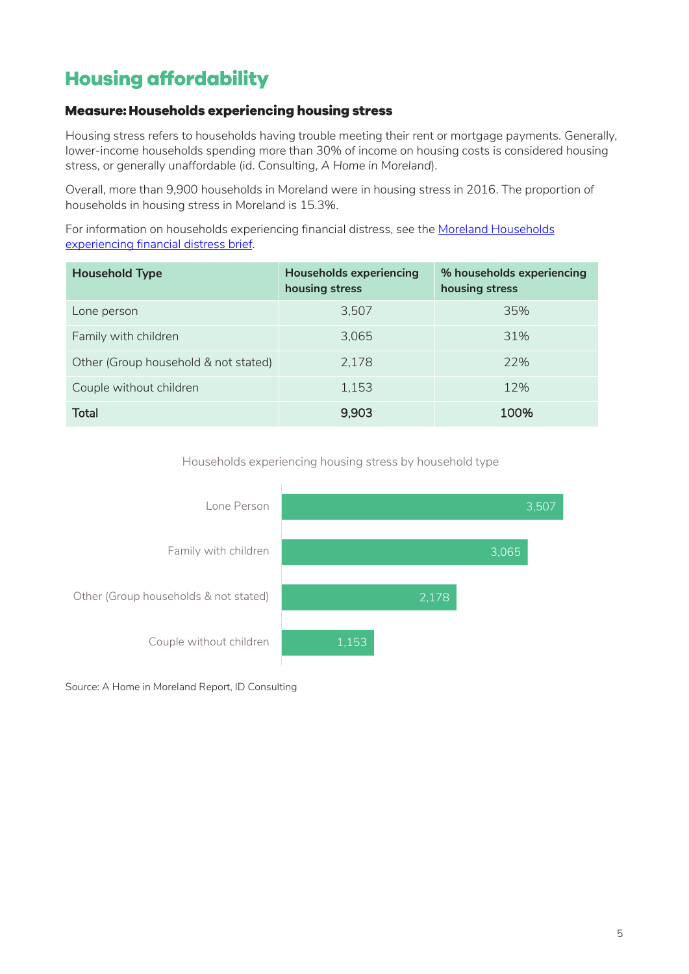### <span id="page-4-0"></span>**Housing affordability**

#### <span id="page-4-1"></span>**Measure: Households experiencing housing stress**

Housing stress refers to households having trouble meeting their rent or mortgage payments. Generally, lower-income households spending more than 30% of income on housing costs is considered housing stress, or generally unaffordable (id. Consulting, *A Home in Moreland*).

Overall, more than 9,900 households in Moreland were in housing stress in 2016. The proportion of households in housing stress in Moreland is 15.3%.

For information on households experiencing financial distress, see th[e Moreland Households](https://www.moreland.vic.gov.au/globalassets/areas/researchlib-6733/financial-hardship-brief-final.pdf)  [experiencing financial distress brief.](https://www.moreland.vic.gov.au/globalassets/areas/researchlib-6733/financial-hardship-brief-final.pdf)

| <b>Household Type</b>                | <b>Households experiencing</b><br>housing stress | % households experiencing<br>housing stress |
|--------------------------------------|--------------------------------------------------|---------------------------------------------|
| Lone person                          | 3,507                                            | 35%                                         |
| Family with children                 | 3,065                                            | 31%                                         |
| Other (Group household & not stated) | 2,178                                            | 22%                                         |
| Couple without children              | 1,153                                            | 12%                                         |
| Total                                | 9,903                                            | 100%                                        |

Households experiencing housing stress by household type



Source: A Home in Moreland Report, ID Consulting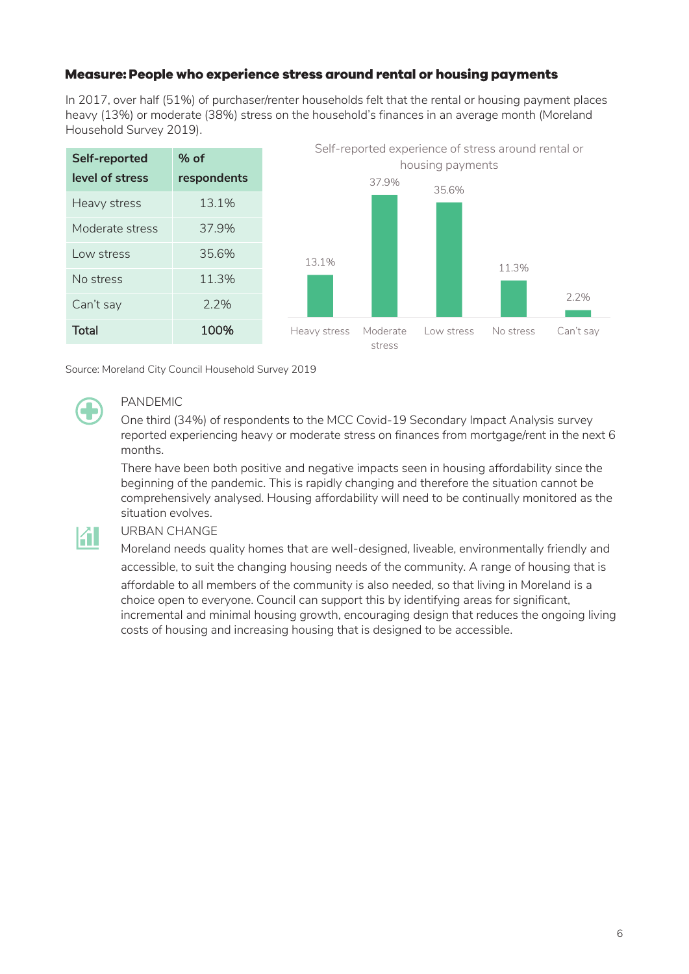#### <span id="page-5-0"></span>Measure: People who experience stress around rental or housing payments

In 2017, over half (51%) of purchaser/renter households felt that the rental or housing payment places heavy (13%) or moderate (38%) stress on the household's finances in an average month (Moreland Household Survey 2019).



Source: Moreland City Council Household Survey 2019

K I

### PANDEMIC

One third (34%) of respondents to the MCC Covid-19 Secondary Impact Analysis survey reported experiencing heavy or moderate stress on finances from mortgage/rent in the next 6 months.

There have been both positive and negative impacts seen in housing affordability since the beginning of the pandemic. This is rapidly changing and therefore the situation cannot be comprehensively analysed. Housing affordability will need to be continually monitored as the situation evolves.

#### URBAN CHANGE

Moreland needs quality homes that are well-designed, liveable, environmentally friendly and accessible, to suit the changing housing needs of the community. A range of housing that is affordable to all members of the community is also needed, so that living in Moreland is a choice open to everyone. Council can support this by identifying areas for significant, incremental and minimal housing growth, encouraging design that reduces the ongoing living costs of housing and increasing housing that is designed to be accessible.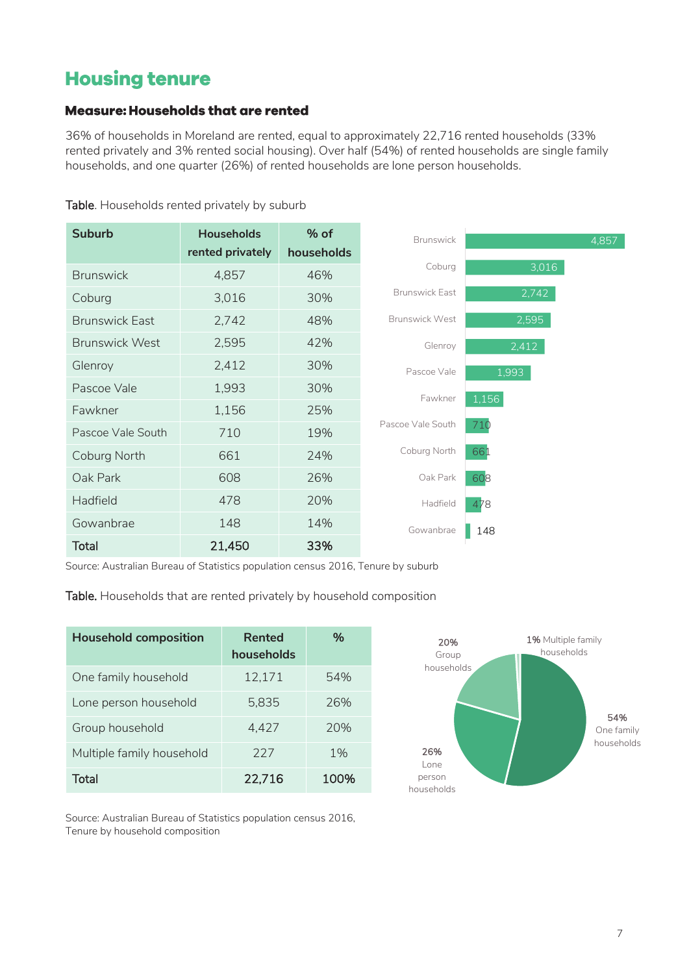### <span id="page-6-0"></span>**Housing tenure**

#### <span id="page-6-1"></span>**Measure: Households that are rented**

36% of households in Moreland are rented, equal to approximately 22,716 rented households (33% rented privately and 3% rented social housing). Over half (54%) of rented households are single family households, and one quarter (26%) of rented households are lone person households.

| <b>Suburb</b>         | <b>Households</b> | % of       | <b>Brunswick</b>      | 4,857 |
|-----------------------|-------------------|------------|-----------------------|-------|
|                       | rented privately  | households |                       |       |
| <b>Brunswick</b>      | 4,857             | 46%        | Coburg                | 3,016 |
| Coburg                | 3,016             | 30%        | <b>Brunswick East</b> | 2,742 |
| <b>Brunswick East</b> | 2,742             | 48%        | <b>Brunswick West</b> | 2,595 |
| <b>Brunswick West</b> | 2,595             | 42%        | Glenroy               | 2,412 |
| Glenroy               | 2,412             | 30%        | Pascoe Vale           | 1,993 |
| Pascoe Vale           | 1,993             | 30%        | Fawkner               | 1,156 |
| Fawkner               | 1,156             | 25%        |                       |       |
| Pascoe Vale South     | 710               | 19%        | Pascoe Vale South     | 710   |
| Coburg North          | 661               | 24%        | Coburg North          | 661   |
| Oak Park              | 608               | 26%        | Oak Park              | 608   |
| Hadfield              | 478               | 20%        | Hadfield              | 478   |
| Gowanbrae             | 148               | 14%        | Gowanbrae             | 148   |
| <b>Total</b>          | 21,450            | 33%        |                       |       |

Table. Households rented privately by suburb

Source: Australian Bureau of Statistics population census 2016, Tenure by suburb

Table. Households that are rented privately by household composition

| <b>Household composition</b> | Rented<br>households | $\%$ |
|------------------------------|----------------------|------|
| One family household         | 12,171               | 54%  |
| Lone person household        | 5.835                | 26%  |
| Group household              | 4.427                | 20%  |
| Multiple family household    | 227                  | 1%   |
| Total                        | 22,716               | 100% |



Source: Australian Bureau of Statistics population census 2016, Tenure by household composition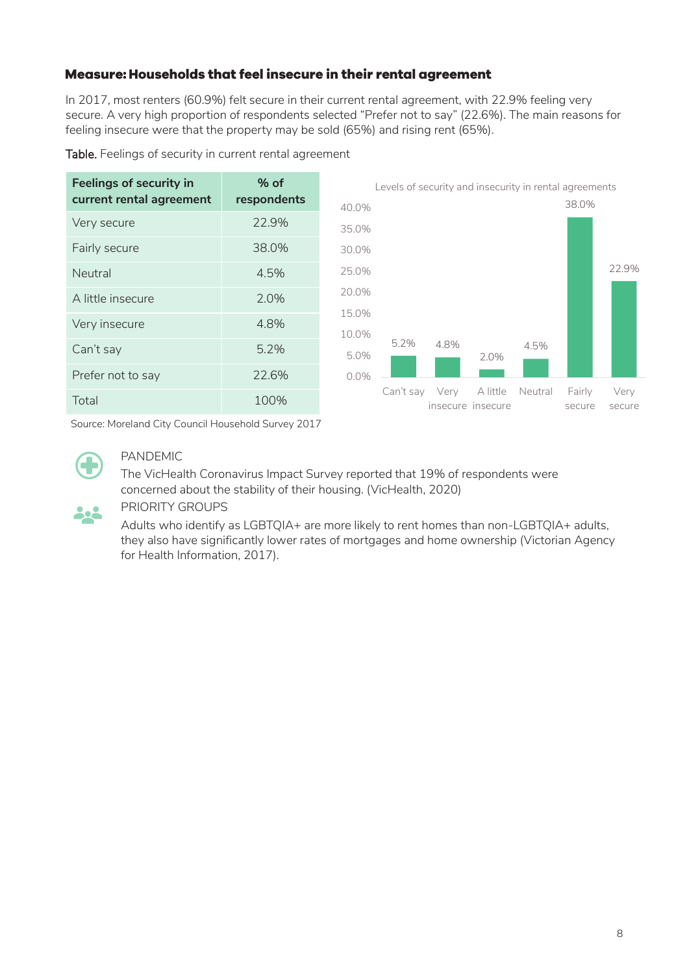#### <span id="page-7-0"></span>Measure: Households that feel insecure in their rental agreement

In 2017, most renters (60.9%) felt secure in their current rental agreement, with 22.9% feeling very secure. A very high proportion of respondents selected "Prefer not to say" (22.6%). The main reasons for feeling insecure were that the property may be sold (65%) and rising rent (65%).

| <b>Feelings of security in</b> | $%$ of      |                | Levels of security and insecurity in rental agreements |      |                               |         |                  |                |
|--------------------------------|-------------|----------------|--------------------------------------------------------|------|-------------------------------|---------|------------------|----------------|
| current rental agreement       | respondents | 40.0%          |                                                        |      |                               |         | 38.0%            |                |
| Very secure                    | 22.9%       | 35.0%          |                                                        |      |                               |         |                  |                |
| Fairly secure                  | 38.0%       | 30.0%          |                                                        |      |                               |         |                  |                |
| Neutral                        | 4.5%        | 25.0%          |                                                        |      |                               |         |                  | 22.9%          |
| A little insecure              | 2.0%        | 20.0%          |                                                        |      |                               |         |                  |                |
| Very insecure                  | 4.8%        | 15.0%<br>10.0% |                                                        |      |                               |         |                  |                |
| Can't say                      | 5.2%        | 5.0%           | 5.2%                                                   | 4.8% | 2.0%                          | 4.5%    |                  |                |
| Prefer not to say              | 22.6%       | 0.0%           |                                                        |      |                               |         |                  |                |
| Total                          | 100%        |                | Can't say                                              | Very | A little<br>insecure insecure | Neutral | Fairly<br>secure | Very<br>secure |

Table. Feelings of security in current rental agreement

Source: Moreland City Council Household Survey 2017



#### PANDEMIC

The VicHealth Coronavirus Impact Survey reported that 19% of respondents were concerned about the stability of their housing. (VicHealth, 2020)



#### PRIORITY GROUPS

Adults who identify as LGBTQIA+ are more likely to rent homes than non-LGBTQIA+ adults, they also have significantly lower rates of mortgages and home ownership (Victorian Agency for Health Information, 2017).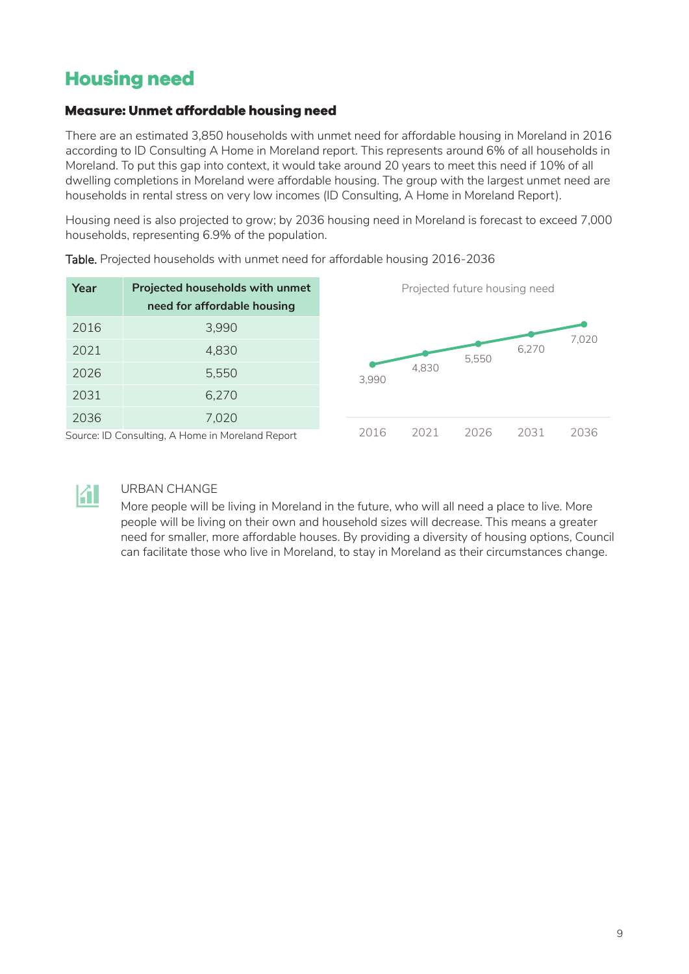### <span id="page-8-0"></span>**Housing need**

#### <span id="page-8-1"></span>**Measure: Unmet affordable housing need**

There are an estimated 3,850 households with unmet need for affordable housing in Moreland in 2016 according to ID Consulting A Home in Moreland report. This represents around 6% of all households in Moreland. To put this gap into context, it would take around 20 years to meet this need if 10% of all dwelling completions in Moreland were affordable housing. The group with the largest unmet need are households in rental stress on very low incomes (ID Consulting, A Home in Moreland Report).

Housing need is also projected to grow; by 2036 housing need in Moreland is forecast to exceed 7,000 households, representing 6.9% of the population.

| Year | Projected households with unmet<br>need for affordable housing |       | Projected future housing need |       |       |       |
|------|----------------------------------------------------------------|-------|-------------------------------|-------|-------|-------|
| 2016 | 3,990                                                          |       |                               |       |       | 7,020 |
| 2021 | 4,830                                                          |       |                               | 5,550 | 6,270 |       |
| 2026 | 5,550                                                          | 3,990 | 4,830                         |       |       |       |
| 2031 | 6,270                                                          |       |                               |       |       |       |
| 2036 | 7,020                                                          |       |                               |       |       |       |
|      | Source: ID Consulting, A Home in Moreland Report               | 2016  | 2021                          | 2026  | 2031  | 2036  |

Table. Projected households with unmet need for affordable housing 2016-2036



#### URBAN CHANGE

More people will be living in Moreland in the future, who will all need a place to live. More people will be living on their own and household sizes will decrease. This means a greater need for smaller, more affordable houses. By providing a diversity of housing options, Council can facilitate those who live in Moreland, to stay in Moreland as their circumstances change.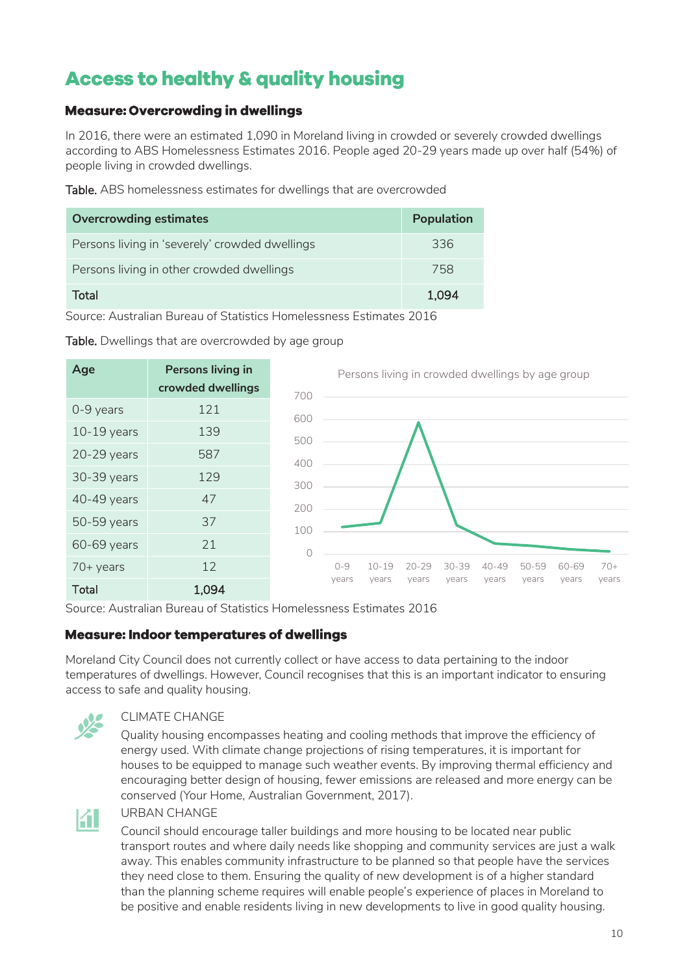### <span id="page-9-0"></span>**Access to healthy & quality housing**

#### <span id="page-9-1"></span>**Measure: Overcrowding in dwellings**

In 2016, there were an estimated 1,090 in Moreland living in crowded or severely crowded dwellings according to ABS Homelessness Estimates 2016. People aged 20-29 years made up over half (54%) of people living in crowded dwellings.

Table. ABS homelessness estimates for dwellings that are overcrowded

| <b>Overcrowding estimates</b>                  | Population |
|------------------------------------------------|------------|
| Persons living in 'severely' crowded dwellings | 336        |
| Persons living in other crowded dwellings      | 758        |
| Total                                          | 1.094      |

Source: Australian Bureau of Statistics Homelessness Estimates 2016

| Age           | <b>Persons living in</b><br>crowded dwellings | 700 |         | Persons living in crowded dwellings by age group |           |           |           |       |       |       |
|---------------|-----------------------------------------------|-----|---------|--------------------------------------------------|-----------|-----------|-----------|-------|-------|-------|
| 0-9 years     | 121                                           | 600 |         |                                                  |           |           |           |       |       |       |
| $10-19$ years | 139                                           | 500 |         |                                                  |           |           |           |       |       |       |
| $20-29$ years | 587                                           | 400 |         |                                                  |           |           |           |       |       |       |
| 30-39 years   | 129                                           | 300 |         |                                                  |           |           |           |       |       |       |
| 40-49 years   | 47                                            | 200 |         |                                                  |           |           |           |       |       |       |
| 50-59 years   | 37                                            | 100 |         |                                                  |           |           |           |       |       |       |
| 60-69 years   | 21                                            | 0   |         |                                                  |           |           |           |       |       |       |
| $70+$ years   | 12                                            |     | $0 - 9$ | $10 - 19$                                        | $20 - 29$ | $30 - 39$ | $40 - 49$ | 50-59 | 60-69 | $70+$ |
| <b>Total</b>  | 1,094                                         |     | years   | years                                            | years     | years     | years     | vears | years | years |

Table. Dwellings that are overcrowded by age group

Source: Australian Bureau of Statistics Homelessness Estimates 2016

#### <span id="page-9-2"></span>**Measure: Indoor temperatures of dwellings**

Moreland City Council does not currently collect or have access to data pertaining to the indoor temperatures of dwellings. However, Council recognises that this is an important indicator to ensuring access to safe and quality housing.



#### CLIMATE CHANGE

Quality housing encompasses heating and cooling methods that improve the efficiency of energy used. With climate change projections of rising temperatures, it is important for houses to be equipped to manage such weather events. By improving thermal efficiency and encouraging better design of housing, fewer emissions are released and more energy can be conserved (Your Home, Australian Government, 2017).



#### URBAN CHANGE

Council should encourage taller buildings and more housing to be located near public transport routes and where daily needs like shopping and community services are just a walk away. This enables community infrastructure to be planned so that people have the services they need close to them. Ensuring the quality of new development is of a higher standard than the planning scheme requires will enable people's experience of places in Moreland to be positive and enable residents living in new developments to live in good quality housing.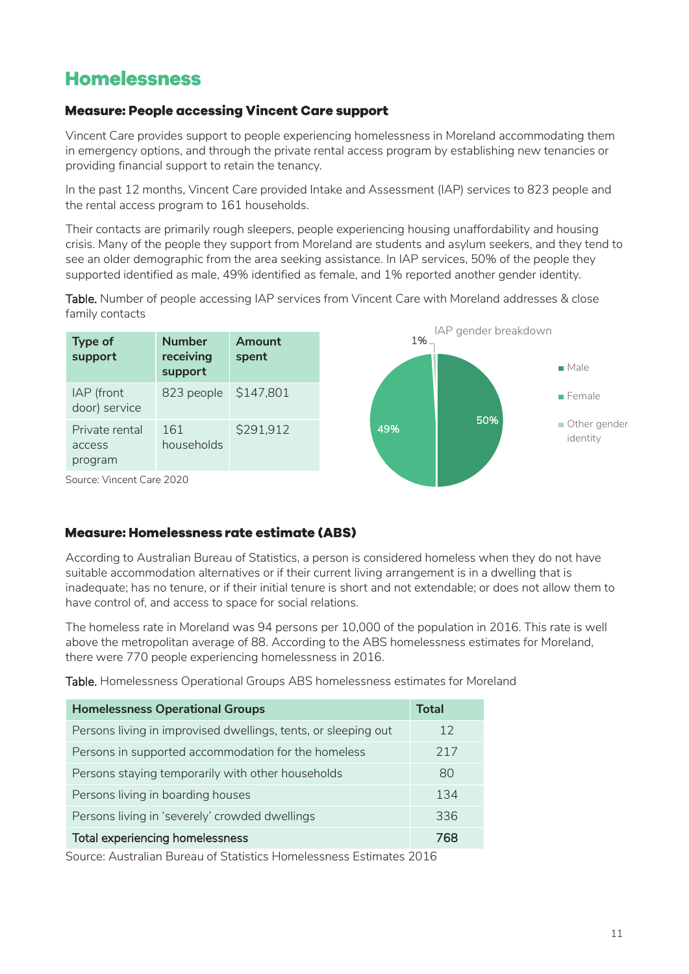### <span id="page-10-0"></span>**Homelessness**

#### <span id="page-10-1"></span>**Measure: People accessing Vincent Care support**

Vincent Care provides support to people experiencing homelessness in Moreland accommodating them in emergency options, and through the private rental access program by establishing new tenancies or providing financial support to retain the tenancy.

In the past 12 months, Vincent Care provided Intake and Assessment (IAP) services to 823 people and the rental access program to 161 households.

Their contacts are primarily rough sleepers, people experiencing housing unaffordability and housing crisis. Many of the people they support from Moreland are students and asylum seekers, and they tend to see an older demographic from the area seeking assistance. In IAP services, 50% of the people they supported identified as male, 49% identified as female, and 1% reported another gender identity.

Table. Number of people accessing IAP services from Vincent Care with Moreland addresses & close family contacts



Source: Vincent Care 2020

#### <span id="page-10-2"></span>**Measure: Homelessness rate estimate (ABS)**

According to Australian Bureau of Statistics, a person is considered homeless when they do not have suitable accommodation alternatives or if their current living arrangement is in a dwelling that is inadequate; has no tenure, or if their initial tenure is short and not extendable; or does not allow them to have control of, and access to space for social relations.

The homeless rate in Moreland was 94 persons per 10,000 of the population in 2016. This rate is well above the metropolitan average of 88. According to the ABS homelessness estimates for Moreland, there were 770 people experiencing homelessness in 2016.

Table. Homelessness Operational Groups ABS homelessness estimates for Moreland

| <b>Homelessness Operational Groups</b>                         | Total |
|----------------------------------------------------------------|-------|
| Persons living in improvised dwellings, tents, or sleeping out | 12    |
| Persons in supported accommodation for the homeless            | 217   |
| Persons staying temporarily with other households              | 80    |
| Persons living in boarding houses                              | 134   |
| Persons living in 'severely' crowded dwellings                 | 336   |
| Total experiencing homelessness                                | 768   |

Source: Australian Bureau of Statistics Homelessness Estimates 2016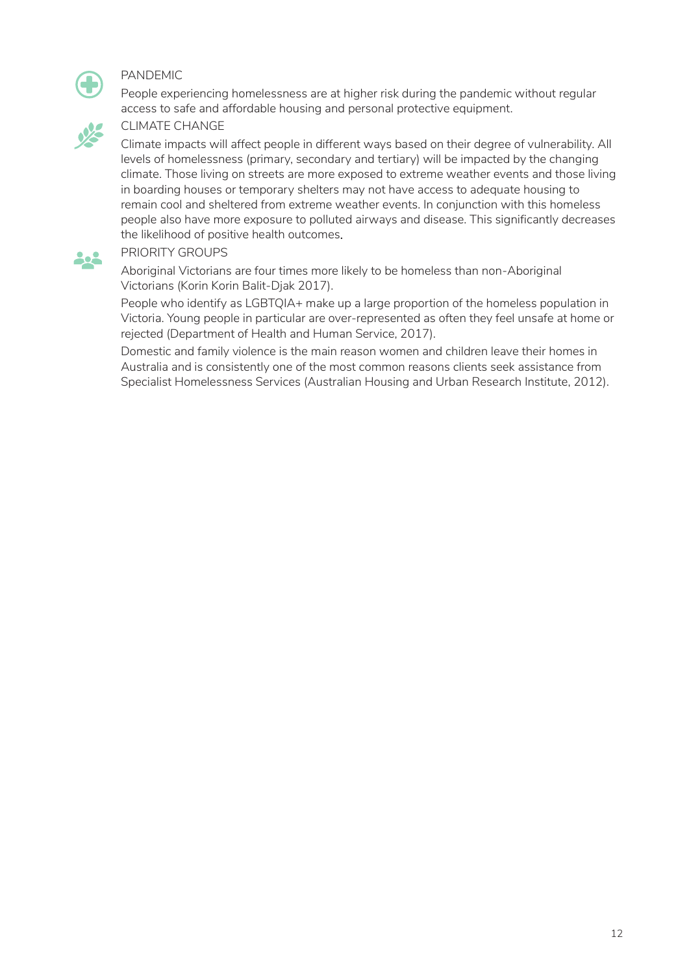

#### PANDEMIC

People experiencing homelessness are at higher risk during the pandemic without regular access to safe and affordable housing and personal protective equipment.



**A** 

#### CLIMATE CHANGE

Climate impacts will affect people in different ways based on their degree of vulnerability. All levels of homelessness (primary, secondary and tertiary) will be impacted by the changing climate. Those living on streets are more exposed to extreme weather events and those living in boarding houses or temporary shelters may not have access to adequate housing to remain cool and sheltered from extreme weather events. In conjunction with this homeless people also have more exposure to polluted airways and disease. This significantly decreases the likelihood of positive health outcomes.

#### PRIORITY GROUPS

Aboriginal Victorians are four times more likely to be homeless than non-Aboriginal Victorians (Korin Korin Balit-Djak 2017).

People who identify as LGBTQIA+ make up a large proportion of the homeless population in Victoria. Young people in particular are over-represented as often they feel unsafe at home or rejected (Department of Health and Human Service, 2017).

Domestic and family violence is the main reason women and children leave their homes in Australia and is consistently one of the most common reasons clients seek assistance from Specialist Homelessness Services (Australian Housing and Urban Research Institute, 2012).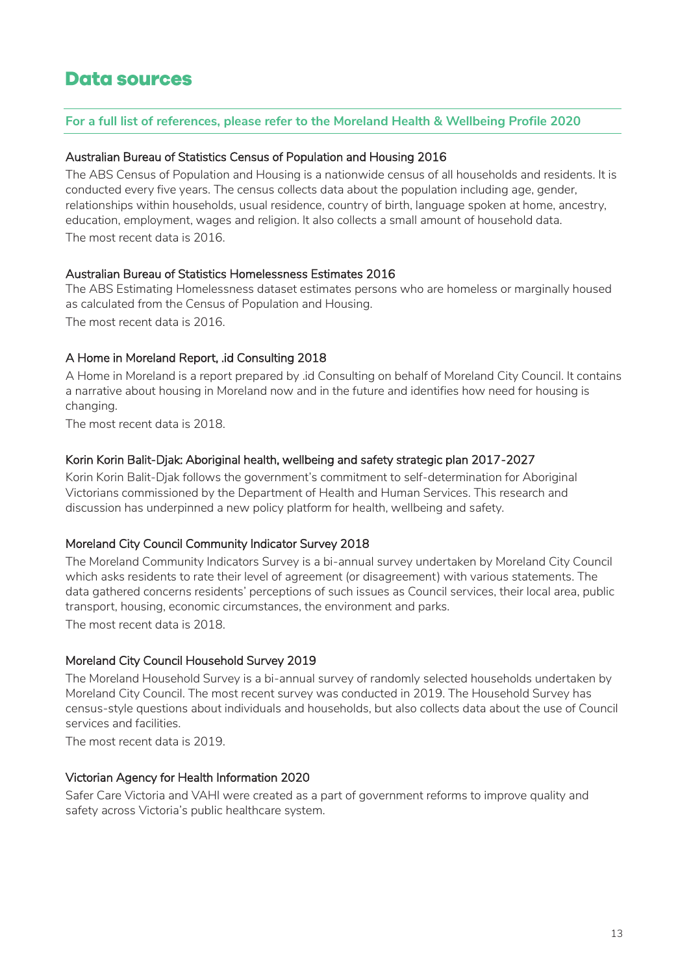### <span id="page-12-0"></span>**Data sources**

#### **For a full list of references, please refer to the Moreland Health & Wellbeing Profile 2020**

#### Australian Bureau of Statistics Census of Population and Housing 2016

The ABS Census of Population and Housing is a nationwide census of all households and residents. It is conducted every five years. The census collects data about the population including age, gender, relationships within households, usual residence, country of birth, language spoken at home, ancestry, education, employment, wages and religion. It also collects a small amount of household data. The most recent data is 2016.

#### Australian Bureau of Statistics Homelessness Estimates 2016

The ABS Estimating Homelessness dataset estimates persons who are homeless or marginally housed as calculated from the Census of Population and Housing. The most recent data is 2016.

#### A Home in Moreland Report, .id Consulting 2018

A Home in Moreland is a report prepared by .id Consulting on behalf of Moreland City Council. It contains a narrative about housing in Moreland now and in the future and identifies how need for housing is changing.

The most recent data is 2018.

#### Korin Korin Balit-Djak: Aboriginal health, wellbeing and safety strategic plan 2017-2027

Korin Korin Balit-Djak follows the government's commitment to self-determination for Aboriginal Victorians commissioned by the Department of Health and Human Services. This research and discussion has underpinned a new policy platform for health, wellbeing and safety.

#### Moreland City Council Community Indicator Survey 2018

The Moreland Community Indicators Survey is a bi-annual survey undertaken by Moreland City Council which asks residents to rate their level of agreement (or disagreement) with various statements. The data gathered concerns residents' perceptions of such issues as Council services, their local area, public transport, housing, economic circumstances, the environment and parks.

The most recent data is 2018.

#### Moreland City Council Household Survey 2019

The Moreland Household Survey is a bi-annual survey of randomly selected households undertaken by Moreland City Council. The most recent survey was conducted in 2019. The Household Survey has census-style questions about individuals and households, but also collects data about the use of Council services and facilities.

The most recent data is 2019.

#### Victorian Agency for Health Information 2020

Safer Care Victoria and VAHI were created as a part of government reforms to improve quality and safety across Victoria's public healthcare system.